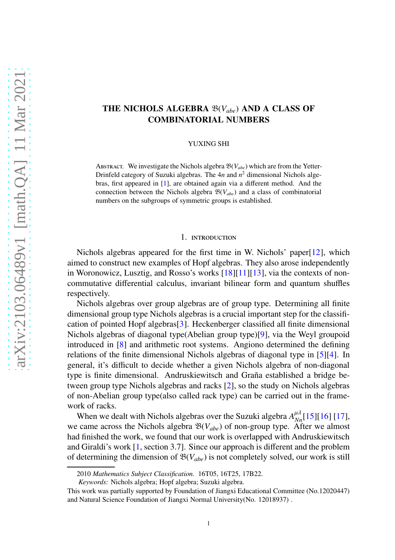# THE NICHOLS ALGEBRA B(*Vabe*) AND A CLASS OF COMBINATORIAL NUMBERS

#### YUXING SHI

ABSTRACT. We investigate the Nichols algebra  $\mathfrak{B}(V_{abc})$  which are from the Yetter-Drinfeld category of Suzuki algebras. The 4*n* and *n* <sup>2</sup> dimensional Nichols algebras, first appeared in [\[1\]](#page-12-0), are obtained again via a different method. And the connection between the Nichols algebra  $\mathfrak{B}(V_{abe})$  and a class of combinatorial numbers on the subgroups of symmetric groups is established.

#### 1. introduction

Nichols algebras appeared for the first time in W. Nichols' paper[\[12\]](#page-13-0), which aimed to construct new examples of Hopf algebras. They also arose independently in Woronowicz, Lusztig, and Rosso's works [\[18\]](#page-13-1)[\[11\]](#page-13-2)[\[13\]](#page-13-3), via the contexts of noncommutative differential calculus, invariant bilinear form and quantum shuffles respectively.

Nichols algebras over group algebras are of group type. Determining all finite dimensional group type Nichols algebras is a crucial important step for the classification of pointed Hopf algebras[\[3\]](#page-13-4). Heckenberger classified all finite dimensional Nichols algebras of diagonal type(Abelian group type)[\[9\]](#page-13-5), via the Weyl groupoid introduced in [\[8\]](#page-13-6) and arithmetic root systems. Angiono determined the defining relations of the finite dimensional Nichols algebras of diagonal type in [\[5\]](#page-13-7)[\[4\]](#page-13-8). In general, it's difficult to decide whether a given Nichols algebra of non-diagonal type is finite dimensional. Andruskiewitsch and Graña established a bridge between group type Nichols algebras and racks [\[2\]](#page-13-9), so the study on Nichols algebras of non-Abelian group type(also called rack type) can be carried out in the framework of racks.

When we dealt with Nichols algebras over the Suzuki algebra  $A_{Nn}^{\mu\lambda}$ [\[15\]](#page-13-10)[\[16\]](#page-13-11) [\[17\]](#page-13-12), we came across the Nichols algebra  $\mathfrak{B}(V_{abe})$  of non-group type. After we almost had finished the work, we found that our work is overlapped with Andruskiewitsch and Giraldi's work [\[1,](#page-12-0) section 3.7]. Since our approach is different and the problem of determining the dimension of  $\mathfrak{B}(V_{abe})$  is not completely solved, our work is still

<sup>2010</sup> *Mathematics Subject Classification.* 16T05, 16T25, 17B22.

*Keywords:* Nichols algebra; Hopf algebra; Suzuki algebra.

This work was partially supported by Foundation of Jiangxi Educational Committee (No.12020447) and Natural Science Foundation of Jiangxi Normal University(No. 12018937) .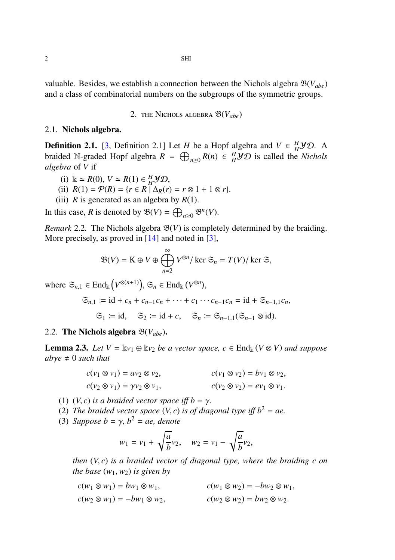valuable. Besides, we establish a connection between the Nichols algebra B(*Vabe*) and a class of combinatorial numbers on the subgroups of the symmetric groups.

2. the Nichols algebra B(*Vabe*)

### 2.1. Nichols algebra.

**Definition 2.1.** [\[3,](#page-13-4) Definition 2.1] Let *H* be a Hopf algebra and  $V \in H^1 \mathcal{YD}$ . A braided N-graded Hopf algebra  $R = \bigoplus_{n\geq 0} R(n) \in H^1 \mathcal{YD}$  is called the *Nichols algebra* of *V* if

- (i)  $\&$  ≃ *R*(0), *V* ≃ *R*(1) ∈ *H*<sup>*H*</sup>*yD*,
- (ii)  $R(1) = \mathcal{P}(R) = \{r \in R \mid \Delta_R(r) = r \otimes 1 + 1 \otimes r\}.$
- (iii) *R* is generated as an algebra by  $R(1)$ .

In this case, *R* is denoted by  $\mathfrak{B}(V) = \bigoplus_{n \geq 0} \mathfrak{B}^n(V)$ .

*Remark* 2.2. The Nichols algebra  $\mathfrak{B}(V)$  is completely determined by the braiding. More precisely, as proved in  $[14]$  and noted in  $[3]$ ,

$$
\mathfrak{B}(V) = \mathbf{K} \oplus V \oplus \bigoplus_{n=2}^{\infty} V^{\otimes n} / \ker \mathfrak{S}_n = T(V) / \ker \mathfrak{S},
$$

where  $\mathfrak{S}_{n,1} \in \text{End}_{\mathbb{k}}(V^{\otimes (n+1)})$ ,  $\mathfrak{S}_n \in \text{End}_{\mathbb{k}}(V^{\otimes n})$ ,

$$
\mathfrak{S}_{n,1} \coloneqq \mathrm{id} + c_n + c_{n-1}c_n + \cdots + c_1 \cdots c_{n-1}c_n = \mathrm{id} + \mathfrak{S}_{n-1,1}c_n,
$$

$$
\mathfrak{S}_1 \coloneqq \mathrm{id}, \quad \mathfrak{S}_2 \coloneqq \mathrm{id} + c, \quad \mathfrak{S}_n \coloneqq \mathfrak{S}_{n-1,1}(\mathfrak{S}_{n-1} \otimes \mathrm{id}).
$$

# 2.2. The Nichols algebra B(*Vabe*).

**Lemma 2.3.** *Let*  $V = \mathbb{k}v_1 \oplus \mathbb{k}v_2$  *be a vector space, c*  $\in$  End<sub>k</sub> ( $V \otimes V$ ) *and suppose*  $ab\gamma e \neq 0$  *such that* 

$$
c(v_1 \otimes v_1) = av_2 \otimes v_2, \qquad c(v_1 \otimes v_2) = bv_1 \otimes v_2, c(v_2 \otimes v_1) = \gamma v_2 \otimes v_1, \qquad c(v_2 \otimes v_2) = ev_1 \otimes v_1.
$$

(1)  $(V, c)$  *is a braided vector space iff b = y.* 

- (2) *The braided vector space*  $(V, c)$  *is of diagonal type iff*  $b^2 = ae$ .
- (3) *Suppose*  $b = \gamma$ ,  $b^2 = ae$ , *denote*

$$
w_1 = v_1 + \sqrt{\frac{a}{b}}v_2
$$
,  $w_2 = v_1 - \sqrt{\frac{a}{b}}v_2$ ,

*then* (*V*, *c*) *is a braided vector of diagonal type, where the braiding c on the base*  $(w_1, w_2)$  *is given by* 

$$
c(w_1 \otimes w_1) = bw_1 \otimes w_1, \qquad c(w_1 \otimes w_2) = -bw_2 \otimes w_1, c(w_2 \otimes w_1) = -bw_1 \otimes w_2, \qquad c(w_2 \otimes w_2) = bw_2 \otimes w_2.
$$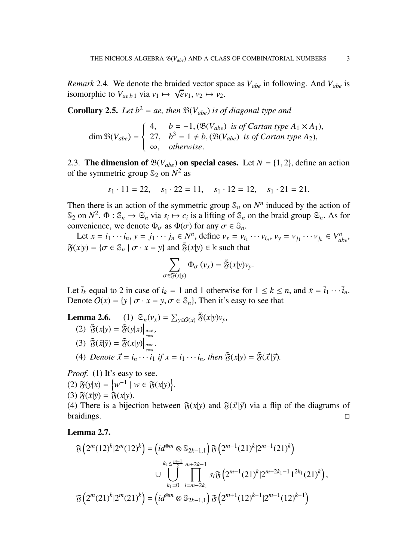*Remark* 2.4. We denote the braided vector space as  $V_{abe}$  in following. And  $V_{abe}$  is isomorphic to  $V_{aeb1}$  via  $v_1 \mapsto \sqrt{ev_1}$ ,  $v_2 \mapsto v_2$ .

**Corollary 2.5.** *Let*  $b^2 = ae$ , *then*  $\mathfrak{B}(V_{abe})$  *is of diagonal type and* 

$$
\dim \mathfrak{B}(V_{abe}) = \begin{cases} 4, & b = -1, (\mathfrak{B}(V_{abe}) \text{ is of Cartan type } A_1 \times A_1), \\ 27, & b^3 = 1 \neq b, (\mathfrak{B}(V_{abe}) \text{ is of Cartan type } A_2), \\ \infty, & otherwise. \end{cases}
$$

2.3. The dimension of  $\mathfrak{B}(V_{abe})$  on special cases. Let  $N = \{1, 2\}$ , define an action of the symmetric group  $\mathbb{S}_2$  on  $N^2$  as

$$
s_1 \cdot 11 = 22
$$
,  $s_1 \cdot 22 = 11$ ,  $s_1 \cdot 12 = 12$ ,  $s_1 \cdot 21 = 21$ .

Then there is an action of the symmetric group  $\mathcal{S}_n$  on  $N^n$  induced by the action of  $\mathbb{S}_2$  on  $N^2$ .  $\Phi$  :  $\mathbb{S}_n \to \mathbb{S}_n$  via  $s_i \mapsto c_i$  is a lifting of  $\mathbb{S}_n$  on the braid group  $\mathbb{S}_n$ . As for convenience, we denote  $\Phi_{\sigma}$  as  $\Phi(\sigma)$  for any  $\sigma \in \mathbb{S}_n$ .

Let  $x = i_1 \cdots i_n$ ,  $y = j_1 \cdots j_n \in N^n$ , define  $v_x = v_{i_1} \cdots v_{i_n}$ ,  $v_y = v_{j_1} \cdots v_{j_n} \in V^n_{abe}$ ,  $\tilde{\mathfrak{F}}(x|y) = {\sigma \in \mathbb{S}_n \mid \sigma \cdot x = y}$  and  $\tilde{\mathfrak{F}}(x|y) \in \mathbb{k}$  such that

$$
\sum_{\sigma \in \widetilde{\mathfrak{F}}(x|y)} \Phi_{\sigma}(v_x) = \widetilde{\mathfrak{F}}(x|y)v_y.
$$

Let  $\overline{i}_k$  equal to 2 in case of  $i_k = 1$  and 1 otherwise for  $1 \le k \le n$ , and  $\overline{x} = \overline{i}_1 \cdots \overline{i}_n$ . Denote  $O(x) = \{y \mid \sigma \cdot x = y, \sigma \in \mathbb{S}_n\}$ , Then it's easy to see that

Lemma 2.6. (1)  $\mathfrak{S}_n(v_x) = \sum_{y \in O(x)} \tilde{\mathfrak{F}}(x|y)v_y$ ,

- (2)  $\tilde{\mathfrak{F}}(x|y) = \tilde{\mathfrak{F}}(y|x)\Big|_{\substack{a=e \ e=a}}$
- (3)  $\tilde{\mathfrak{F}}(\bar{x}|\bar{y}) = \tilde{\mathfrak{F}}(x|y)\Big|_{\substack{a=e\\e=a}}^{e=a}$ .
- (4) *Denote*  $\vec{x} = i_n \cdots \hat{i_1}$  *if*  $x = i_1 \cdots i_n$ *, then*  $\tilde{\mathfrak{F}}(x|y) = \tilde{\mathfrak{F}}(\vec{x}|\vec{y})$ *.*

*Proof.* (1) It's easy to see.

- (2)  $\mathfrak{F}(y|x) = \{w^{-1} | w \in \mathfrak{F}(x|y)\}.$
- $(3)$   $\mathfrak{F}(\bar{x}|\bar{y}) = \mathfrak{F}(x|y).$

(4) There is a bijection between  $\mathfrak{F}(x|y)$  and  $\mathfrak{F}(\vec{x}|\vec{y})$  via a flip of the diagrams of braidings. braidings.

## <span id="page-2-0"></span>Lemma 2.7.

$$
\mathfrak{F}\left(2^m(12)^k|2^m(12)^k\right) = \left(id^{\otimes m} \otimes \mathbb{S}_{2k-1,1}\right) \mathfrak{F}\left(2^{m-1}(21)^k|2^{m-1}(21)^k\right)
$$

$$
\cup \bigcup_{k_1=0}^{k_1 \le \frac{m-1}{2}} \prod_{i=m-2k_1}^{m+2k-1} s_i \mathfrak{F}\left(2^{m-1}(21)^k|2^{m-2k_1-1}1^{2k_1}(21)^k\right),
$$

$$
\mathfrak{F}\left(2^m(21)^k|2^m(21)^k\right) = \left(id^{\otimes m} \otimes \mathbb{S}_{2k-1,1}\right) \mathfrak{F}\left(2^{m+1}(12)^{k-1}|2^{m+1}(12)^{k-1}\right)
$$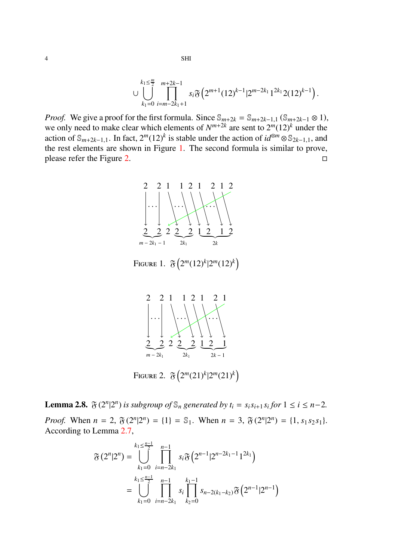$$
\cup \bigcup_{k_1=0}^{k_1 \leq \frac{m}{2}} \prod_{i=m-2k_1+1}^{m+2k-1} s_i \mathfrak{F}\left( 2^{m+1} (12)^{k-1} | 2^{m-2k_1} 1^{2k_1} 2 (12)^{k-1} \right).
$$

<span id="page-3-0"></span>*Proof.* We give a proof for the first formula. Since  $\mathbb{S}_{m+2k} = \mathbb{S}_{m+2k-1,1}(\mathbb{S}_{m+2k-1} \otimes 1)$ , we only need to make clear which elements of  $N^{m+2k}$  are sent to  $2^m(12)^k$  under the action of  $\mathbb{S}_{m+2k-1,1}$ . In fact,  $2^m(12)^k$  is stable under the action of  $id^{\otimes m} \otimes \mathbb{S}_{2k-1,1}$ , and the rest elements are shown in Figure [1.](#page-3-0) The second formula is similar to prove, please refer the Figure [2.](#page-3-1)  $\Box$ 



<span id="page-3-1"></span>Figure 1.  $\mathfrak{F}\left(2^m(12)^k|2^m(12)^k\right)$ 



Figure 2.  $\mathfrak{F}\left(2^m(21)^k|2^m(21)^k\right)$ 

<span id="page-3-2"></span>**Lemma 2.8.**  $\mathfrak{F}(2^n|2^n)$  is subgroup of  $\mathbb{S}_n$  generated by  $t_i = s_i s_{i+1} s_i$  for  $1 \le i \le n-2$ . *Proof.* When  $n = 2$ ,  $\mathfrak{F}(2^n | 2^n) = \{1\} = \mathbb{S}_1$ . When  $n = 3$ ,  $\mathfrak{F}(2^n | 2^n) = \{1, s_1 s_2 s_1\}$ . According to Lemma [2.7,](#page-2-0)

$$
\mathfrak{F}(2^n|2^n) = \bigcup_{k_1=0}^{k_1 \leq \frac{n-1}{2}} \prod_{i=n-2k_1}^{n-1} s_i \mathfrak{F}\left(2^{n-1} | 2^{n-2k_1-1} 1^{2k_1}\right)
$$
  
= 
$$
\bigcup_{k_1=0}^{k_1 \leq \frac{n-1}{2}} \prod_{i=n-2k_1}^{n-1} s_i \prod_{k_2=0}^{k_1-1} s_{n-2(k_1-k_2)} \mathfrak{F}\left(2^{n-1} | 2^{n-1}\right)
$$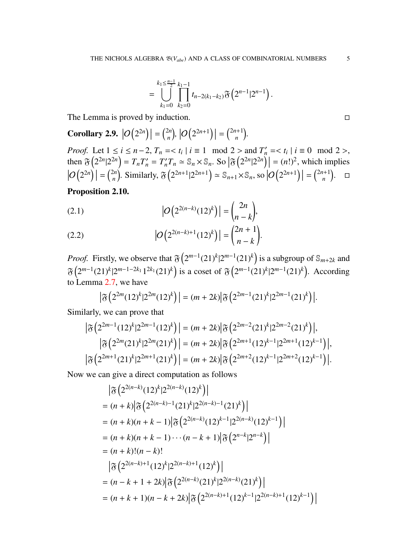$$
= \bigcup_{k_1=0}^{k_1 \leq \frac{n-1}{2}} \prod_{k_2=0}^{k_1-1} t_{n-2(k_1-k_2)} \mathfrak{F}\left(2^{n-1} | 2^{n-1}\right).
$$

The Lemma is proved by induction.

**Corollary 2.9.**  $|O(2^{2n})| = {2n \choose n}$  $\left| O\left(2^{2n+1}\right) \right| = \binom{2n+1}{n}$  $\binom{n+1}{n}$ .

*Proof.* Let  $1 \le i \le n-2$ ,  $T_n = \{ t_i \mid i \equiv 1 \mod 2 > \text{ and } T'_n = \{ t_i \mid i \equiv 0 \mod 2 > 0 \}$ then  $\mathfrak{F}\left(2^{2n}|2^{2n}\right) = T_nT'_n = T'_nT_n \approx \mathbb{S}_n \times \mathbb{S}_n$ . So  $\left|\mathfrak{F}\left(2^{2n}|2^{2n}\right)\right| = (n!)^2$ , which implies  $|O(2^{2n})| = {2n \choose n}$ 2*n*<sup>2</sup>, Similarly,  $\mathfrak{F}\left(2^{2n+1}|2^{2n+1}\right) \simeq \mathbb{S}_{n+1} \times \mathbb{S}_n$ , so  $\left|\mathcal{O}\left(2^{2n+1}\right)\right| = \binom{2n+1}{n}$  $\binom{n+1}{n}$ .  $\Box$ 

<span id="page-4-0"></span>Proposition 2.10.

(2.1) 
$$
|O(2^{2(n-k)}(12)^k)| = \binom{2n}{n-k},
$$

(2.2) 
$$
|O(2^{2(n-k)+1}(12)^k)| = {2n+1 \choose n-k}.
$$

*Proof.* Firstly, we observe that  $\mathfrak{F}\left(2^{m-1}(21)^k|2^{m-1}(21)^k\right)$  is a subgroup of  $\mathbb{S}_{m+2k}$  and  $\mathfrak{F}\left(2^{m-1}(21)^k|2^{m-1-2k_1}1^{2k_1}(21)^k\right)$  is a coset of  $\mathfrak{F}\left(2^{m-1}(21)^k|2^{m-1}(21)^k\right)$ . According to Lemma [2.7,](#page-2-0) we have

$$
\left|\mathfrak{F}\left(2^{2m}(12)^{k}|2^{2m}(12)^{k}\right)\right|=(m+2k)\left|\mathfrak{F}\left(2^{2m-1}(21)^{k}|2^{2m-1}(21)^{k}\right)\right|.
$$

Similarly, we can prove that

$$
\begin{aligned} \left| \mathfrak{F} \left( 2^{2m-1} (12)^k | 2^{2m-1} (12)^k \right) \right| &= (m + 2k) \left| \mathfrak{F} \left( 2^{2m-2} (21)^k | 2^{2m-2} (21)^k \right) \right|, \\ \left| \mathfrak{F} \left( 2^{2m} (21)^k | 2^{2m} (21)^k \right) \right| &= (m + 2k) \left| \mathfrak{F} \left( 2^{2m+1} (12)^{k-1} | 2^{2m+1} (12)^{k-1} \right) \right|, \\ \left| \mathfrak{F} \left( 2^{2m+1} (21)^k | 2^{2m+1} (21)^k \right) \right| &= (m + 2k) \left| \mathfrak{F} \left( 2^{2m+2} (12)^{k-1} | 2^{2m+2} (12)^{k-1} \right) \right|. \end{aligned}
$$

Now we can give a direct computation as follows

$$
\begin{aligned}\n&\left|\mathfrak{F}\left(2^{2(n-k)}(12)^k|2^{2(n-k)}(12)^k\right)\right| \\
&= (n+k)\left|\mathfrak{F}\left(2^{2(n-k)-1}(21)^k|2^{2(n-k)-1}(21)^k\right)\right| \\
&= (n+k)(n+k-1)\left|\mathfrak{F}\left(2^{2(n-k)}(12)^{k-1}|2^{2(n-k)}(12)^{k-1}\right)\right| \\
&= (n+k)(n+k-1)\cdots(n-k+1)\left|\mathfrak{F}\left(2^{n-k}|2^{n-k}\right)\right| \\
&= (n+k)!(n-k)! \\
&\left|\mathfrak{F}\left(2^{2(n-k)+1}(12)^k|2^{2(n-k)+1}(12)^k\right)\right| \\
&= (n-k+1+2k)\left|\mathfrak{F}\left(2^{2(n-k)}(21)^k|2^{2(n-k)}(21)^k\right)\right| \\
&= (n+k+1)(n-k+2k)\left|\mathfrak{F}\left(2^{2(n-k)+1}(12)^{k-1}|2^{2(n-k)+1}(12)^{k-1}\right)\right|\n\end{aligned}
$$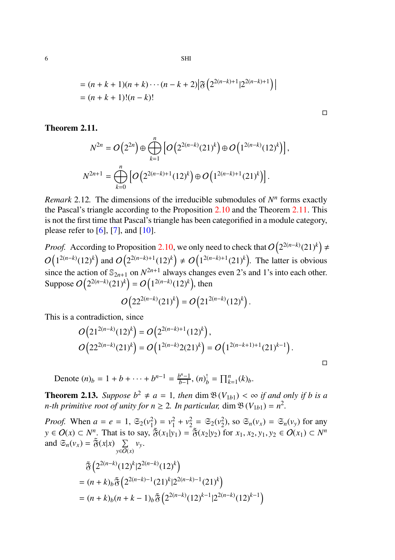$$
= (n + k + 1)(n + k) \cdots (n - k + 2) \left| \mathfrak{F} \left( 2^{2(n-k)+1} | 2^{2(n-k)+1} \right) \right|
$$
  
= (n + k + 1)!(n - k)!

### <span id="page-5-0"></span>Theorem 2.11.

$$
N^{2n} = O(2^{2n}) \oplus \bigoplus_{k=1}^{n} \left[ O(2^{2(n-k)} (21)^k) \oplus O(1^{2(n-k)} (12)^k) \right],
$$
  

$$
N^{2n+1} = \bigoplus_{k=0}^{n} \left[ O(2^{2(n-k)+1} (12)^k) \oplus O(1^{2(n-k)+1} (21)^k) \right].
$$

*Remark* 2.12. The dimensions of the irreducible submodules of  $N<sup>n</sup>$  forms exactly the Pascal's triangle according to the Proposition [2.10](#page-4-0) and the Theorem [2.11.](#page-5-0) This is not the first time that Pascal's triangle has been categorified in a module category, please refer to  $[6]$ ,  $[7]$ , and  $[10]$ .

*Proof.* According to Proposition [2.10,](#page-4-0) we only need to check that  $O(2^{2(n-k)}(21)^k) \neq$  $O(1^{2(n-k)}(12)^k)$  and  $O(2^{2(n-k)+1}(12)^k) \neq O(1^{2(n-k)+1}(21)^k)$ . The latter is obvious since the action of  $\mathbb{S}_{2n+1}$  on  $N^{2n+1}$  always changes even 2's and 1's into each other. Suppose  $O(2^{2(n-k)}(21)^k) = O(1^{2(n-k)}(12)^k)$ , then

$$
O(22^{2(n-k)}(21)^k) = O(21^{2(n-k)}(12)^k).
$$

This is a contradiction, since

$$
O(21^{2(n-k)}(12)^k) = O(2^{2(n-k)+1}(12)^k),
$$
  
\n
$$
O(22^{2(n-k)}(21)^k) = O(1^{2(n-k)}2(21)^k) = O(1^{2(n-k+1)+1}(21)^{k-1}).
$$

Denote  $(n)_b = 1 + b + \cdots + b^{n-1} = \frac{b^{n-1}}{b-1}$  $\int_{b-1}^{b^{n}-1}$ ,  $(n)_{b}^{!} = \prod_{k=1}^{n} (k)_{b}$ .

**Theorem 2.13.** *Suppose*  $b^2 \neq a = 1$ *, then* dim  $\mathfrak{B}(V_{1b1}) < \infty$  *if and only if b is a n-th primitive root of unity for*  $n \ge 2$ *. In particular,* dim  $\mathfrak{B}(V_{1b1}) = n^2$ .

*Proof.* When  $a = e = 1$ ,  $\mathfrak{S}_2(v_1^2) = v_1^2 + v_2^2 = \mathfrak{S}_2(v_2^2)$ , so  $\mathfrak{S}_n(v_x) = \mathfrak{S}_n(v_y)$  for any *y* ∈  $O(x)$  ⊂  $N^n$ . That is to say,  $\tilde{\mathfrak{F}}(x_1|y_1) = \tilde{\mathfrak{F}}(x_2|y_2)$  for  $x_1, x_2, y_1, y_2 \in O(x_1) \subset N^n$ and  $\mathfrak{S}_n(v_x) = \tilde{\mathfrak{F}}(x|x) \sum_{x \in \Omega}$ *y*∈O(*x*) *vy*.

$$
\begin{aligned} &\tilde{\mathfrak{F}}\left(2^{2(n-k)}(12)^k|2^{2(n-k)}(12)^k\right) \\ &=(n+k)_b\tilde{\mathfrak{F}}\left(2^{2(n-k)-1}(21)^k|2^{2(n-k)-1}(21)^k\right) \\ &=(n+k)_b(n+k-1)_b\tilde{\mathfrak{F}}\left(2^{2(n-k)}(12)^{k-1}|2^{2(n-k)}(12)^{k-1}\right) \end{aligned}
$$

 $\Box$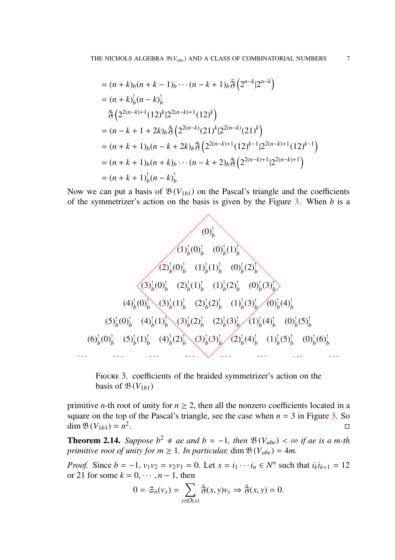$$
= (n + k)_{b}(n + k - 1)_{b} \cdots (n - k + 1)_{b} \tilde{\mathfrak{F}}\left(2^{n-k}|2^{n-k}\right)
$$
  
\n
$$
= (n + k)_{b}^{1}(n - k)_{b}^{1}
$$
  
\n
$$
\tilde{\mathfrak{F}}\left(2^{2(n-k)+1}(12)^{k}|2^{2(n-k)+1}(12)^{k}\right)
$$
  
\n
$$
= (n - k + 1 + 2k)_{b} \tilde{\mathfrak{F}}\left(2^{2(n-k)}(21)^{k}|2^{2(n-k)}(21)^{k}\right)
$$
  
\n
$$
= (n + k + 1)_{b}(n - k + 2k)_{b} \tilde{\mathfrak{F}}\left(2^{2(n-k)+1}(12)^{k-1}|2^{2(n-k)+1}(12)^{k-1}\right)
$$
  
\n
$$
= (n + k + 1)_{b}(n + k)_{b} \cdots (n - k + 2)_{b} \tilde{\mathfrak{F}}\left(2^{2(n-k)+1}|2^{2(n-k)+1}\right)
$$
  
\n
$$
= (n + k + 1)_{b}^{1}(n - k)_{b}^{1}
$$

Now we can put a basis of  $\mathfrak{B}(V_{1b1})$  on the Pascal's triangle and the coefficients of the symmetrizer's action on the basis is given by the Figure [3.](#page-6-0) When *b* is a

<span id="page-6-0"></span>

Figure 3. coefficients of the braided symmetrizer's action on the basis of  $\mathfrak{B}(V_{1b1})$ 

primitive *n*-th root of unity for  $n \ge 2$ , then all the nonzero coefficients located in a square on the top of the Pascal's triangle, see the case when  $n = 3$  in Figure [3.](#page-6-0) So  $\dim \mathfrak{B}(V_{1b1}) = n^2$ . В последните при последните последните последните последните последните последните последните последните по<br>Село в последните последните последните последните последните последните последните последните последните посл

**Theorem 2.14.** *Suppose*  $b^2 ≠ ae$  *and*  $b = -1$ *, then*  $\mathfrak{B}(V_{abe}) < \infty$  *if ae is a m-th primitive root of unity for*  $m \geq 1$ *. In particular,* dim  $\mathfrak{B}(V_{abe}) = 4m$ .

*Proof.* Since  $b = -1$ ,  $v_1v_2 = v_2v_1 = 0$ . Let  $x = i_1 \cdots i_n \in N^n$  such that  $i_k i_{k+1} = 12$ or 21 for some  $k = 0, \dots, n-1$ , then

$$
0 = \mathfrak{S}_n(v_x) = \sum_{y \in O(x)} \tilde{\mathfrak{F}}(x, y)v_y \Rightarrow \tilde{\mathfrak{F}}(x, y) = 0.
$$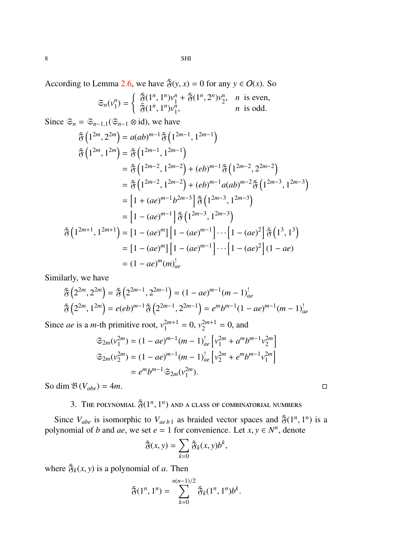According to Lemma 2.6, we have  $\tilde{\mathfrak{F}}(y, x) = 0$  for any  $y \in O(x)$ . So

$$
\mathfrak{S}_n(\mathbf{v}_1^n) = \begin{cases} \tilde{\mathfrak{F}}(1^n, 1^n)\mathbf{v}_1^n + \tilde{\mathfrak{F}}(1^n, 2^n)\mathbf{v}_2^n, & n \text{ is even,} \\ \tilde{\mathfrak{F}}(1^n, 1^n)\mathbf{v}_1^n, & n \text{ is odd.} \end{cases}
$$

Since  $\mathfrak{S}_n = \mathfrak{S}_{n-1,1}(\mathfrak{S}_{n-1} \otimes id)$ , we have

$$
\tilde{\mathfrak{F}}\left(1^{2m}, 2^{2m}\right) = a(ab)^{m-1} \tilde{\mathfrak{F}}\left(1^{2m-1}, 1^{2m-1}\right)
$$
\n
$$
\tilde{\mathfrak{F}}\left(1^{2m}, 1^{2m}\right) = \tilde{\mathfrak{F}}\left(1^{2m-1}, 1^{2m-1}\right)
$$
\n
$$
= \tilde{\mathfrak{F}}\left(1^{2m-2}, 1^{2m-2}\right) + (eb)^{m-1} \tilde{\mathfrak{F}}\left(1^{2m-2}, 2^{2m-2}\right)
$$
\n
$$
= \tilde{\mathfrak{F}}\left(1^{2m-2}, 1^{2m-2}\right) + (eb)^{m-1} a(ab)^{m-2} \tilde{\mathfrak{F}}\left(1^{2m-3}, 1^{2m-3}\right)
$$
\n
$$
= \left[1 + (ae)^{m-1}b^{2m-3}\right] \tilde{\mathfrak{F}}\left(1^{2m-3}, 1^{2m-3}\right)
$$
\n
$$
= \left[1 - (ae)^{m-1}\right] \tilde{\mathfrak{F}}\left(1^{2m-3}, 1^{2m-3}\right)
$$
\n
$$
\tilde{\mathfrak{F}}\left(1^{2m+1}, 1^{2m+1}\right) = \left[1 - (ae)^m\right] \left[1 - (ae)^{m-1}\right] \cdots \left[1 - (ae)^2\right] \tilde{\mathfrak{F}}\left(1^3, 1^3\right)
$$
\n
$$
= \left[1 - (ae)^m\right] \left[1 - (ae)^{m-1}\right] \cdots \left[1 - (ae)^2\right] (1 - ae)
$$
\n
$$
= (1 - ae)^m (m)_{ae}^!
$$

Similarly, we have

$$
\tilde{\mathfrak{F}}\left(2^{2m}, 2^{2m}\right) = \tilde{\mathfrak{F}}\left(2^{2m-1}, 2^{2m-1}\right) = (1 - ae)^{m-1}(m-1)_{ae}^1
$$
\n
$$
\tilde{\mathfrak{F}}\left(2^{2m}, 1^{2m}\right) = e(eb)^{m-1}\tilde{\mathfrak{F}}\left(2^{2m-1}, 2^{2m-1}\right) = e^m b^{m-1}(1 - ae)^{m-1}(m-1)_{ae}^1
$$

Since *ae* is a *m*-th primitive root,  $v_1^{2m+1} = 0$ ,  $v_2^{2m+1} = 0$ , and

$$
\begin{aligned} \mathfrak{S}_{2m}(v_1^{2m}) &= (1 - ae)^{m-1} (m-1)_{ae}^! \left[ v_1^{2m} + a^m b^{m-1} v_2^{2m} \right] \\ \mathfrak{S}_{2m}(v_2^{2m}) &= (1 - ae)^{m-1} (m-1)_{ae}^! \left[ v_2^{2m} + e^m b^{m-1} v_1^{2m} \right] \\ &= e^m b^{m-1} \mathfrak{S}_{2m}(v_1^{2m}). \end{aligned}
$$

So dim  $\mathfrak{B}(V_{abe}) = 4m$ .

# 3. The polynomial  $\tilde{\mathfrak{F}}(1^n,1^n)$  and a class of combinatorial numbers

Since  $V_{abe}$  is isomorphic to  $V_{aeb1}$  as braided vector spaces and  $\tilde{\mathfrak{F}}(1^n, 1^n)$  is a polynomial of *b* and *ae*, we set  $e = 1$  for convenience. Let  $x, y \in N^n$ , denote

$$
\widetilde{\mathfrak{F}}(x,y)=\sum_{k=0}\widetilde{\mathfrak{F}}_k(x,y)b^k,
$$

where  $\tilde{\mathfrak{F}}_k(x, y)$  is a polynomial of *a*. Then

$$
\tilde{\mathfrak{F}}(1^n, 1^n) = \sum_{k=0}^{n(n-1)/2} \tilde{\mathfrak{F}}_k(1^n, 1^n) b^k.
$$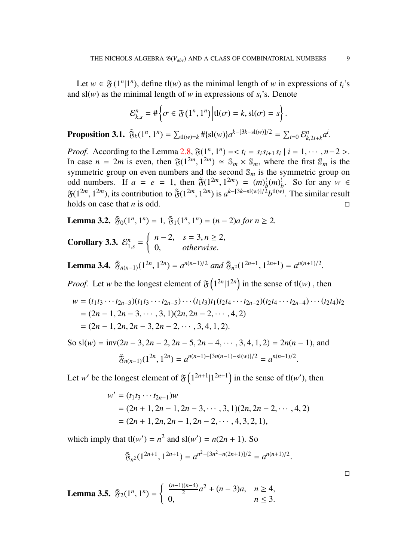Let  $w \in \mathfrak{F}(1^n | 1^n)$ , define tl(*w*) as the minimal length of *w* in expressions of *t<sub>i</sub>*'s and  $sl(w)$  as the minimal length of *w* in expressions of  $s_i$ 's. Denote

$$
\mathcal{E}_{k,s}^{n} = \#\left\{\sigma \in \mathfrak{F}\left(1^{n}, 1^{n}\right) \Big| \mathrm{tl}(\sigma) = k, \mathrm{sl}(\sigma) = s\right\}
$$

**Proposition 3.1.**  $\tilde{\mathfrak{F}}_k(1^n, 1^n) = \sum_{\mathrm{d}(w)=k}^{\infty} \# \{ \mathrm{sl}(w) \} a^{k-[3k-\mathrm{sl}(w)]/2} = \sum_{i=0}^{\infty} \mathcal{E}_{k,2i+k}^n a^i$ .

*Proof.* According to the Lemma [2.8,](#page-3-2)  $\mathfrak{F}(1^n, 1^n) = < t_i = s_i s_{i+1} s_i | i = 1, \dots, n-2 >$ . In case  $n = 2m$  is even, then  $\mathfrak{F}(1^{2m}, 1^{2m}) \simeq \mathbb{S}_m \times \mathbb{S}_m$ , where the first  $\mathbb{S}_m$  is the symmetric group on even numbers and the second  $\mathcal{S}_m$  is the symmetric group on odd numbers. If  $a = e = 1$ , then  $\tilde{\mathfrak{F}}(1^{2m}, 1^{2m}) = (m)_b^1 (m)_b^1$ . So for any  $w \in$  $\mathfrak{F}(1^{2m}, 1^{2m})$ , its contribution to  $\mathfrak{F}(1^{2m}, 1^{2m})$  is  $a^{k-[3k-s1(w)]/2}b^{t1(w)}$ . The similar result holds on case that *n* is odd.

**Lemma 3.2.**  $\tilde{\mathfrak{F}}_0(1^n, 1^n) = 1$ ,  $\tilde{\mathfrak{F}}_1(1^n, 1^n) = (n-2)a$  for  $n \ge 2$ .

**Corollary 3.3.**  $\mathcal{E}_{1,s}^n = \begin{cases} n-2, & s = 3, n \geq 2, \\ 0, & otherwise. \end{cases}$ 0, *otherwise*.

**Lemma 3.4.**  $\tilde{\mathfrak{F}}_{n(n-1)}(1^{2n}, 1^{2n}) = a^{n(n-1)/2}$  *and*  $\tilde{\mathfrak{F}}_{n^2}(1^{2n+1}, 1^{2n+1}) = a^{n(n+1)/2}$ *.* 

*Proof.* Let *w* be the longest element of  $\mathfrak{F}(1^{2n}|1^{2n})$  in the sense of tl(*w*), then

$$
w = (t_1t_3 \cdots t_{2n-3})(t_1t_3 \cdots t_{2n-5}) \cdots (t_1t_3)t_1(t_2t_4 \cdots t_{2n-2})(t_2t_4 \cdots t_{2n-4}) \cdots (t_2t_4)t_2
$$
  
=  $(2n - 1, 2n - 3, \cdots, 3, 1)(2n, 2n - 2, \cdots, 4, 2)$   
=  $(2n - 1, 2n, 2n - 3, 2n - 2, \cdots, 3, 4, 1, 2).$ 

So  $sl(w) = inv(2n-3, 2n-2, 2n-5, 2n-4, \dots, 3, 4, 1, 2) = 2n(n-1)$ , and  $\tilde{\mathfrak{F}}_{n(n-1)}(1^{2n}, 1^{2n}) = a^{n(n-1)-[3n(n-1)-\text{sl}(w)]/2} = a^{n(n-1)/2}.$ 

Let *w*' be the longest element of  $\mathfrak{F}\left(1^{2n+1}|1^{2n+1}\right)$  in the sense of tl(*w*'), then

$$
w' = (t_1t_3 \cdots t_{2n-1})w
$$
  
=  $(2n + 1, 2n - 1, 2n - 3, \cdots, 3, 1)(2n, 2n - 2, \cdots, 4, 2)$   
=  $(2n + 1, 2n, 2n - 1, 2n - 2, \cdots, 4, 3, 2, 1),$ 

which imply that  $t\mathbf{l}(w') = n^2$  and  $s\mathbf{l}(w') = n(2n + 1)$ . So

$$
\tilde{\mathfrak{F}}_{n^2}(1^{2n+1},1^{2n+1})=a^{n^2-[3n^2-n(2n+1)]/2}=a^{n(n+1)/2}.
$$

**Lemma 3.5.** 
$$
\tilde{\mathfrak{F}}_2(1^n, 1^n) = \begin{cases} \frac{(n-1)(n-4)}{2}a^2 + (n-3)a, & n \ge 4, \\ 0, & n \le 3. \end{cases}
$$

.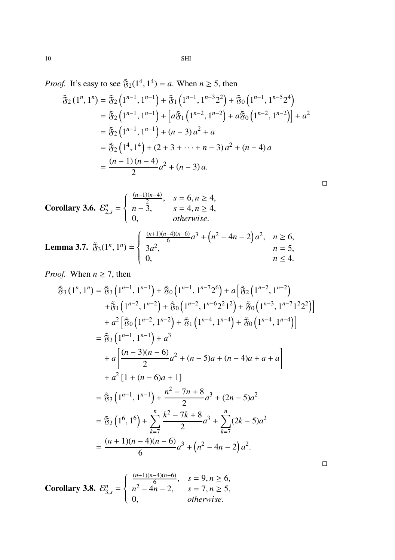*Proof.* It's easy to see  $\tilde{\mathfrak{F}}_2(1^4, 1^4) = a$ . When  $n \ge 5$ , then

$$
\begin{split} \tilde{\mathfrak{F}}_{2} \left(1^{n}, 1^{n}\right) &= \tilde{\mathfrak{F}}_{2} \left(1^{n-1}, 1^{n-1}\right) + \tilde{\mathfrak{F}}_{1} \left(1^{n-1}, 1^{n-3} 2^{2}\right) + \tilde{\mathfrak{F}}_{0} \left(1^{n-1}, 1^{n-5} 2^{4}\right) \\ &= \tilde{\mathfrak{F}}_{2} \left(1^{n-1}, 1^{n-1}\right) + \left[a \tilde{\mathfrak{F}}_{1} \left(1^{n-2}, 1^{n-2}\right) + a \tilde{\mathfrak{F}}_{0} \left(1^{n-2}, 1^{n-2}\right)\right] + a^{2} \\ &= \tilde{\mathfrak{F}}_{2} \left(1^{n-1}, 1^{n-1}\right) + (n-3) \, a^{2} + a \\ &= \tilde{\mathfrak{F}}_{2} \left(1^{4}, 1^{4}\right) + (2 + 3 + \dots + n - 3) \, a^{2} + (n - 4) \, a \\ &= \frac{(n-1)(n-4)}{2} a^{2} + (n-3) \, a. \end{split}
$$

**Corollary 3.6.** 
$$
\mathcal{E}_{2,s}^{n} = \begin{cases} \frac{(n-1)(n-4)}{2}, & s = 6, n \ge 4, \\ n-3, & s = 4, n \ge 4, \\ 0, & otherwise. \end{cases}
$$
  
**Lemma 3.7.** 
$$
\tilde{\mathfrak{F}}_{3}(1^{n}, 1^{n}) = \begin{cases} \frac{(n+1)(n-4)(n-6)}{6}a^{3} + (n^{2} - 4n - 2)a^{2}, & n \ge 6, \\ 3a^{2}, & n = 5, \\ 0, & n \le 4. \end{cases}
$$

*Proof.* When  $n \ge 7$ , then

$$
\tilde{\mathfrak{F}}_{3} (1^{n}, 1^{n}) = \tilde{\mathfrak{F}}_{3} (1^{n-1}, 1^{n-1}) + \tilde{\mathfrak{F}}_{0} (1^{n-1}, 1^{n-7} 2^{6}) + a \left[ \tilde{\mathfrak{F}}_{2} (1^{n-2}, 1^{n-2}) + \tilde{\mathfrak{F}}_{1} (1^{n-2}, 1^{n-2}) + \tilde{\mathfrak{F}}_{0} (1^{n-2}, 1^{n-6} 2^{2} 1^{2}) + \tilde{\mathfrak{F}}_{0} (1^{n-3}, 1^{n-7} 1^{2} 2^{2}) \right]
$$
\n
$$
+ a^{2} \left[ \tilde{\mathfrak{F}}_{0} (1^{n-2}, 1^{n-2}) + \tilde{\mathfrak{F}}_{1} (1^{n-4}, 1^{n-4}) + \tilde{\mathfrak{F}}_{0} (1^{n-4}, 1^{n-4}) \right]
$$
\n
$$
= \tilde{\mathfrak{F}}_{3} (1^{n-1}, 1^{n-1}) + a^{3}
$$
\n
$$
+ a \left[ \frac{(n-3)(n-6)}{2} a^{2} + (n-5)a + (n-4)a + a + a \right]
$$
\n
$$
+ a^{2} \left[ 1 + (n-6)a + 1 \right]
$$
\n
$$
= \tilde{\mathfrak{F}}_{3} (1^{n-1}, 1^{n-1}) + \frac{n^{2} - 7n + 8}{2} a^{3} + (2n - 5)a^{2}
$$
\n
$$
= \tilde{\mathfrak{F}}_{3} (1^{6}, 1^{6}) + \sum_{k=7}^{n} \frac{k^{2} - 7k + 8}{2} a^{3} + \sum_{k=7}^{n} (2k - 5)a^{2}
$$
\n
$$
= \frac{(n+1)(n-4)(n-6)}{6} a^{3} + (n^{2} - 4n - 2) a^{2}.
$$

**Corollary 3.8.** 
$$
\mathcal{E}_{3,s}^{n} = \begin{cases} \frac{(n+1)(n-4)(n-6)}{6}, & s = 9, n \ge 6, \\ n^2 - 4n - 2, & s = 7, n \ge 5, \\ 0, & otherwise. \end{cases}
$$

 $\Box$ 

 $\Box$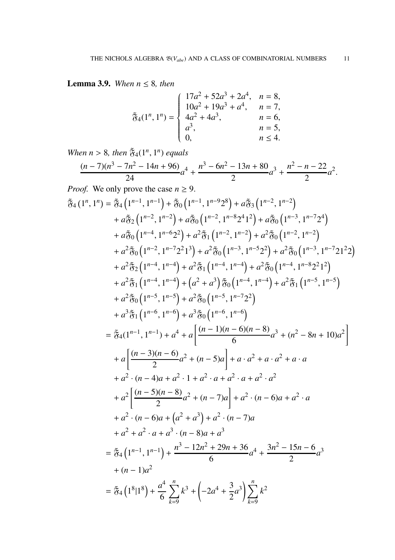**Lemma 3.9.** *When*  $n \leq 8$ *, then* 

$$
\tilde{\mathfrak{F}}_4(1^n, 1^n) = \begin{cases}\n17a^2 + 52a^3 + 2a^4, & n = 8, \\
10a^2 + 19a^3 + a^4, & n = 7, \\
4a^2 + 4a^3, & n = 6, \\
a^3, & n = 5, \\
0, & n \le 4.\n\end{cases}
$$

*When*  $n > 8$ *, then*  $\tilde{\mathfrak{F}}_4(1^n, 1^n)$  *equals* 

$$
\frac{(n-7)(n^3-7n^2-14n+96)}{24}a^4+\frac{n^3-6n^2-13n+80}{2}a^3+\frac{n^2-n-22}{2}a^2.
$$

*Proof.* We only prove the case  $n \geq 9$ .

$$
\tilde{g}_{4}(1^{n}, 1^{n}) = \tilde{g}_{4}(1^{n-1}, 1^{n-1}) + \tilde{g}_{0}(1^{n-1}, 1^{n-9}2^{8}) + a\tilde{g}_{3}(1^{n-2}, 1^{n-2})
$$
\n
$$
+ a\tilde{g}_{2}(1^{n-2}, 1^{n-2}) + a\tilde{g}_{0}(1^{n-2}, 1^{n-8}2^{4}1^{2}) + a\tilde{g}_{0}(1^{n-3}, 1^{n-7}2^{4})
$$
\n
$$
+ a\tilde{g}_{0}(1^{n-4}, 1^{n-6}2^{2}) + a^{2}\tilde{g}_{1}(1^{n-2}, 1^{n-2}) + a^{2}\tilde{g}_{0}(1^{n-3}, 1^{n-7}2^{4})
$$
\n
$$
+ a^{2}\tilde{g}_{0}(1^{n-3}, 1^{n-7}2^{2}1^{3}) + a^{2}\tilde{g}_{0}(1^{n-3}, 1^{n-5}2^{2}) + a^{2}\tilde{g}_{0}(1^{n-3}, 1^{n-7}21^{2})
$$
\n
$$
+ a^{2}\tilde{g}_{1}(1^{n-4}, 1^{n-4}) + a^{2}\tilde{g}_{1}(1^{n-4}, 1^{n-4}) + a^{2}\tilde{g}_{0}(1^{n-4}, 1^{n-8}2^{2}1^{2})
$$
\n
$$
+ a^{2}\tilde{g}_{1}(1^{n-4}, 1^{n-4}) + a^{2}\tilde{g}_{0}(1^{n-4}, 1^{n-4}) + a^{2}\tilde{g}_{1}(1^{n-5}, 1^{n-5})
$$
\n
$$
+ a^{2}\tilde{g}_{0}(1^{n-5}, 1^{n-5}) + a^{2}\tilde{g}_{0}(1^{n-5}, 1^{n-7}2^{2})
$$
\n
$$
+ a^{3}\tilde{g}_{1}(1^{n-6}, 1^{n-6}) + a^{3}\tilde{g}_{0}(1^{n-6}, 1^{n-6})
$$
\n
$$
\equiv \tilde{g}_{4}(1^{n-1}, 1^{n-1}) + a^{4} + a\left[\frac{(n-1)(n-6)(n-8)}{6}a^{3} + (n^{2} - 8n + 10)a^{2}\right]
$$
\n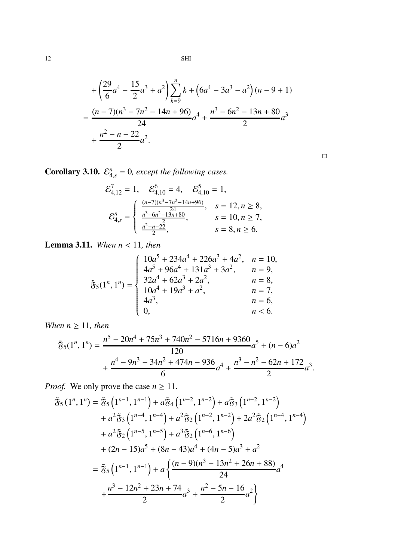$$
+\left(\frac{29}{6}a^4 - \frac{15}{2}a^3 + a^2\right)\sum_{k=9}^{n} k + \left(6a^4 - 3a^3 - a^2\right)(n - 9 + 1)
$$
  
= 
$$
\frac{(n-7)(n^3 - 7n^2 - 14n + 96)}{24}a^4 + \frac{n^3 - 6n^2 - 13n + 80}{2}a^3 + \frac{n^2 - n - 22}{2}a^2.
$$

 $\Box$ 

**Corollary 3.10.**  $\mathcal{E}_{4,s}^n = 0$ , except the following cases.

$$
\mathcal{E}_{4,12}^7 = 1, \quad \mathcal{E}_{4,10}^6 = 4, \quad \mathcal{E}_{4,10}^5 = 1,
$$
\n
$$
\mathcal{E}_{4,1}^n = \begin{cases}\n\frac{(n-7)(n^3 - 7n^2 - 14n + 96)}{24}, & s = 12, n \ge 8, \\
\frac{n^3 - 6n^2 - 13n + 80}{24}, & s = 10, n \ge 7, \\
\frac{n^2 - n - 22}{2}, & s = 8, n \ge 6.\n\end{cases}
$$

Lemma 3.11. *When n* < 11*, then*

$$
\tilde{\mathfrak{F}}_{5}(1^{n}, 1^{n}) = \begin{cases}\n10a^{5} + 234a^{4} + 226a^{3} + 4a^{2}, & n = 10, \\
4a^{5} + 96a^{4} + 131a^{3} + 3a^{2}, & n = 9, \\
32a^{4} + 62a^{3} + 2a^{2}, & n = 8, \\
10a^{4} + 19a^{3} + a^{2}, & n = 7, \\
4a^{3}, & n = 6, \\
0, & n < 6.\n\end{cases}
$$

*When*  $n \geq 11$ *, then* 

$$
\tilde{\mathfrak{F}}_5(1^n, 1^n) = \frac{n^5 - 20n^4 + 75n^3 + 740n^2 - 5716n + 9360}{120}a^5 + (n - 6)a^2 + \frac{n^4 - 9n^3 - 34n^2 + 474n - 936}{6}a^4 + \frac{n^3 - n^2 - 62n + 172}{2}a^3.
$$

*Proof.* We only prove the case  $n \geq 11$ .

$$
\begin{split} \tilde{\mathfrak{F}}_{5}\left(1^{n},1^{n}\right) &= \tilde{\mathfrak{F}}_{5}\left(1^{n-1},1^{n-1}\right) + a\tilde{\mathfrak{F}}_{4}\left(1^{n-2},1^{n-2}\right) + a\tilde{\mathfrak{F}}_{3}\left(1^{n-2},1^{n-2}\right) \\ &+ a^{2}\tilde{\mathfrak{F}}_{3}\left(1^{n-4},1^{n-4}\right) + a^{2}\tilde{\mathfrak{F}}_{2}\left(1^{n-2},1^{n-2}\right) + 2a^{2}\tilde{\mathfrak{F}}_{2}\left(1^{n-4},1^{n-4}\right) \\ &+ a^{2}\tilde{\mathfrak{F}}_{2}\left(1^{n-5},1^{n-5}\right) + a^{3}\tilde{\mathfrak{F}}_{2}\left(1^{n-6},1^{n-6}\right) \\ &+ (2n-15)a^{5} + (8n-43)a^{4} + (4n-5)a^{3} + a^{2} \\ &= \tilde{\mathfrak{F}}_{5}\left(1^{n-1},1^{n-1}\right) + a\left\{\frac{(n-9)(n^{3} - 13n^{2} + 26n + 88)}{24}a^{4} \\ &+ \frac{n^{3} - 12n^{2} + 23n + 74}{2}a^{3} + \frac{n^{2} - 5n - 16}{2}a^{2}\right\} \end{split}
$$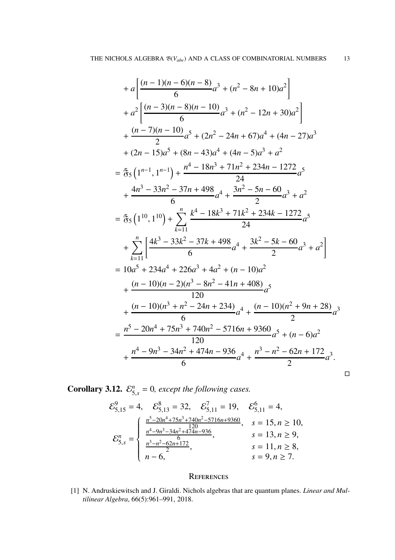$$
+ a \left[ \frac{(n-1)(n-6)(n-8)}{6}a^3 + (n^2 - 8n + 10)a^2 \right]
$$
  
+ 
$$
a^2 \left[ \frac{(n-3)(n-8)(n-10)}{6}a^3 + (n^2 - 12n + 30)a^2 \right]
$$
  
+ 
$$
\frac{(n-7)(n-10)}{2}a^5 + (2n^2 - 24n + 67)a^4 + (4n - 27)a^3
$$
  
+ 
$$
(2n-15)a^5 + (8n-43)a^4 + (4n-5)a^3 + a^2
$$
  
= 
$$
\tilde{g}_5 (1^{n-1}, 1^{n-1}) + \frac{n^4 - 18n^3 + 71n^2 + 234n - 1272}{24}a^5
$$
  
+ 
$$
\frac{4n^3 - 33n^2 - 37n + 498}{6}a^4 + \frac{3n^2 - 5n - 60}{2}a^3 + a^2
$$
  
= 
$$
\tilde{g}_5 (1^{10}, 1^{10}) + \sum_{k=11}^{n} \frac{k^4 - 18k^3 + 71k^2 + 234k - 1272}{24}a^5
$$
  
+ 
$$
\sum_{k=11}^{n} \left[ \frac{4k^3 - 33k^2 - 37k + 498}{6}a^4 + \frac{3k^2 - 5k - 60}{2}a^3 + a^2 \right]
$$
  
= 
$$
10a^5 + 234a^4 + 226a^3 + 4a^2 + (n - 10)a^2
$$
  
+ 
$$
\frac{(n-10)(n-2)(n^3 - 8n^2 - 41n + 408)}{120}a^5
$$
  
+ 
$$
\frac{(n-10)(n^3 + n^2 - 24n + 234)}{6}a^4 + \frac{(n-10)(n^2 + 9n + 28)}{2}a^3
$$
  
= 
$$
\frac{n^5 - 20n^4 + 75n^3 + 740n^2 - 5716n + 9360}{120}a^5 + (n - 6)a^2
$$
  
+ 
$$
\frac{n^4 - 9n^3 - 34n^
$$

 $\Box$ 

**Corollary 3.12.**  $\mathcal{E}_{5,s}^n = 0$ , except the following cases.

$$
\mathcal{E}_{5,15}^{9} = 4, \quad \mathcal{E}_{5,13}^{8} = 32, \quad \mathcal{E}_{5,11}^{7} = 19, \quad \mathcal{E}_{5,11}^{6} = 4,
$$
\n
$$
\mathcal{E}_{5,15}^{n} = \begin{cases}\n\frac{n^{5} - 20n^{4} + 75n^{3} + 740n^{2} - 5716n + 9360}{120}, & s = 15, n \ge 10, \\
\frac{n^{4} - 9n^{3} - 34n^{2} + 474n - 936}{6}, & s = 13, n \ge 9, \\
\frac{n^{3} - n^{2} - 62n + 172}{2}, & s = 11, n \ge 8, \\
n - 6, & s = 9, n \ge 7.\n\end{cases}
$$

### **REFERENCES**

<span id="page-12-0"></span>[1] N. Andruskiewitsch and J. Giraldi. Nichols algebras that are quantum planes. *Linear and Multilinear Algebra*, 66(5):961–991, 2018.